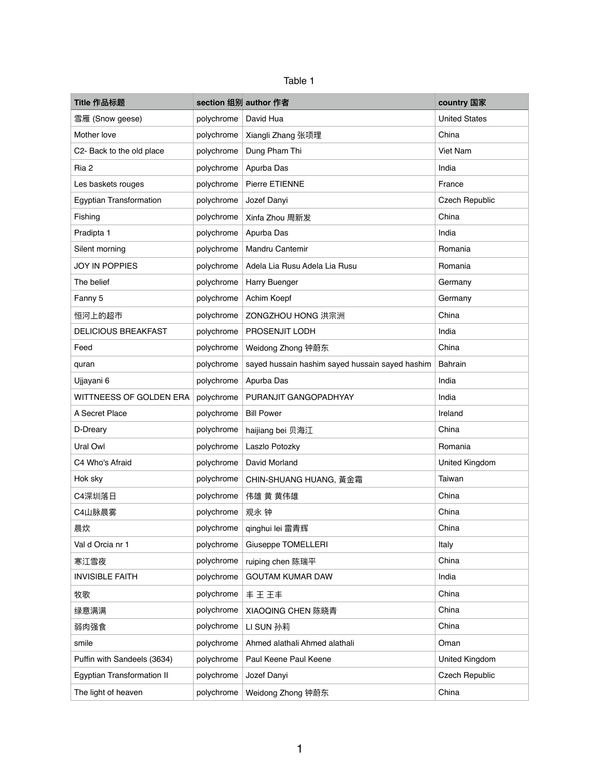| anie |  |
|------|--|
|------|--|

| Title 作品标题                        |            | section 组别 author 作者                            | country 国家            |
|-----------------------------------|------------|-------------------------------------------------|-----------------------|
| 雪雁 (Snow geese)                   | polychrome | David Hua                                       | <b>United States</b>  |
| Mother love                       | polychrome | Xiangli Zhang 张项理                               | China                 |
| C2- Back to the old place         | polychrome | Dung Pham Thi                                   | Viet Nam              |
| Ria 2                             | polychrome | Apurba Das                                      | India                 |
| Les baskets rouges                | polychrome | Pierre ETIENNE                                  | France                |
| Egyptian Transformation           | polychrome | Jozef Danyi                                     | <b>Czech Republic</b> |
| Fishing                           | polychrome | Xinfa Zhou 周新发                                  | China                 |
| Pradipta 1                        | polychrome | Apurba Das                                      | India                 |
| Silent morning                    | polychrome | Mandru Cantemir                                 | Romania               |
| <b>JOY IN POPPIES</b>             | polychrome | Adela Lia Rusu Adela Lia Rusu                   | Romania               |
| The belief                        | polychrome | Harry Buenger                                   | Germany               |
| Fanny 5                           | polychrome | Achim Koepf                                     | Germany               |
| 恒河上的超市                            | polychrome | ZONGZHOU HONG 洪宗洲                               | China                 |
| <b>DELICIOUS BREAKFAST</b>        | polychrome | PROSENJIT LODH                                  | India                 |
| Feed                              | polychrome | Weidong Zhong 钟蔚东                               | China                 |
| quran                             | polychrome | sayed hussain hashim sayed hussain sayed hashim | <b>Bahrain</b>        |
| Ujjayani 6                        | polychrome | Apurba Das                                      | India                 |
| WITTNEESS OF GOLDEN ERA           | polychrome | PURANJIT GANGOPADHYAY                           | India                 |
| A Secret Place                    | polychrome | <b>Bill Power</b>                               | Ireland               |
| D-Dreary                          | polychrome | haijiang bei 贝海江                                | China                 |
| Ural Owl                          | polychrome | Laszlo Potozky                                  | Romania               |
| C4 Who's Afraid                   | polychrome | David Morland                                   | United Kingdom        |
| Hok sky                           | polychrome | CHIN-SHUANG HUANG, 黃金霜                          | Taiwan                |
| C4深圳落日                            | polychrome | 伟雄 黄 黄伟雄                                        | China                 |
| C4山脉晨雾                            | polychrome | 观永 钟                                            | China                 |
| 晨炊                                | polychrome | qinghui lei 雷青辉                                 | China                 |
| Val d Orcia nr 1                  | polychrome | <b>Giuseppe TOMELLERI</b>                       | Italy                 |
| 寒江雪夜                              | polychrome | ruiping chen 陈瑞平                                | China                 |
| <b>INVISIBLE FAITH</b>            | polychrome | <b>GOUTAM KUMAR DAW</b>                         | India                 |
| 牧歌                                | polychrome | 丰王王丰                                            | China                 |
| 绿意满满                              | polychrome | XIAOQING CHEN 陈晓青                               | China                 |
| 弱肉强食                              | polychrome | LI SUN 孙莉                                       | China                 |
| smile                             | polychrome | Ahmed alathali Ahmed alathali                   | Oman                  |
| Puffin with Sandeels (3634)       | polychrome | Paul Keene Paul Keene                           | United Kingdom        |
| <b>Egyptian Transformation II</b> | polychrome | Jozef Danyi                                     | <b>Czech Republic</b> |
| The light of heaven               | polychrome | Weidong Zhong 钟蔚东                               | China                 |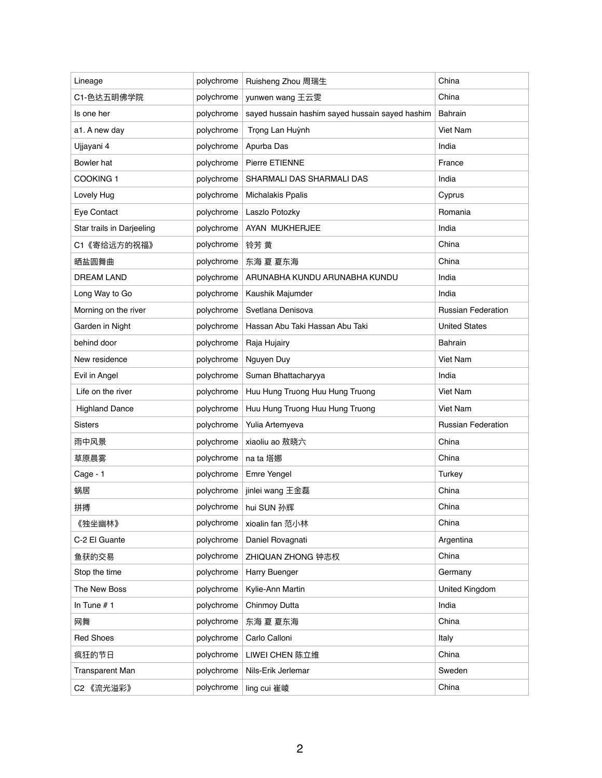| Lineage                   | polychrome | Ruisheng Zhou 周瑞生                               | China                     |
|---------------------------|------------|-------------------------------------------------|---------------------------|
| C1-色达五明佛学院                | polychrome | yunwen wang 王云雯                                 | China                     |
| Is one her                | polychrome | sayed hussain hashim sayed hussain sayed hashim | <b>Bahrain</b>            |
| a1. A new day             | polychrome | Trọng Lan Huỳnh                                 | Viet Nam                  |
| Ujjayani 4                | polychrome | Apurba Das                                      | India                     |
| Bowler hat                | polychrome | Pierre ETIENNE                                  | France                    |
| <b>COOKING 1</b>          | polychrome | SHARMALI DAS SHARMALI DAS                       | India                     |
| Lovely Hug                | polychrome | <b>Michalakis Ppalis</b>                        | Cyprus                    |
| Eye Contact               | polychrome | Laszlo Potozky                                  | Romania                   |
| Star trails in Darjeeling | polychrome | AYAN MUKHERJEE                                  | India                     |
| C1《寄给远方的祝福》               | polychrome | 铃芳 黄                                            | China                     |
| 晒盐圆舞曲                     | polychrome | 东海 夏 夏东海                                        | China                     |
| <b>DREAM LAND</b>         | polychrome | ARUNABHA KUNDU ARUNABHA KUNDU                   | India                     |
| Long Way to Go            | polychrome | Kaushik Majumder                                | India                     |
| Morning on the river      | polychrome | Svetlana Denisova                               | <b>Russian Federation</b> |
| Garden in Night           | polychrome | Hassan Abu Taki Hassan Abu Taki                 | <b>United States</b>      |
| behind door               | polychrome | Raja Hujairy                                    | <b>Bahrain</b>            |
| New residence             | polychrome | Nguyen Duy                                      | <b>Viet Nam</b>           |
| Evil in Angel             | polychrome | Suman Bhattacharyya                             | India                     |
| Life on the river         | polychrome | Huu Hung Truong Huu Hung Truong                 | <b>Viet Nam</b>           |
| <b>Highland Dance</b>     | polychrome | Huu Hung Truong Huu Hung Truong                 | Viet Nam                  |
| <b>Sisters</b>            | polychrome | Yulia Artemyeva                                 | <b>Russian Federation</b> |
| 雨中风景                      | polychrome | xiaoliu ao 敖晓六                                  | China                     |
| 草原晨雾                      | polychrome | na ta 塔娜                                        | China                     |
| Cage - 1                  | polychrome | Emre Yengel                                     | Turkey                    |
| 蜗居                        | polychrome | jinlei wang 王金磊                                 | China                     |
| 拼搏                        | polychrome | hui SUN 孙辉                                      | China                     |
| 《独坐幽林》                    | polychrome | xioalin fan 范小林                                 | China                     |
| C-2 El Guante             | polychrome | Daniel Rovagnati                                | Argentina                 |
| 鱼获的交易                     | polychrome | ZHIQUAN ZHONG 钟志权                               | China                     |
| Stop the time             | polychrome | <b>Harry Buenger</b>                            | Germany                   |
| The New Boss              | polychrome | Kylie-Ann Martin                                | United Kingdom            |
| In Tune $# 1$             | polychrome | Chinmoy Dutta                                   | India                     |
| 网舞                        | polychrome | 东海 夏 夏东海                                        | China                     |
| <b>Red Shoes</b>          | polychrome | Carlo Calloni                                   | Italy                     |
| 疯狂的节日                     | polychrome | LIWEI CHEN 陈立维                                  | China                     |
| <b>Transparent Man</b>    | polychrome | Nils-Erik Jerlemar                              | Sweden                    |
| C2 《流光溢彩》                 | polychrome | ling cui 崔崚                                     | China                     |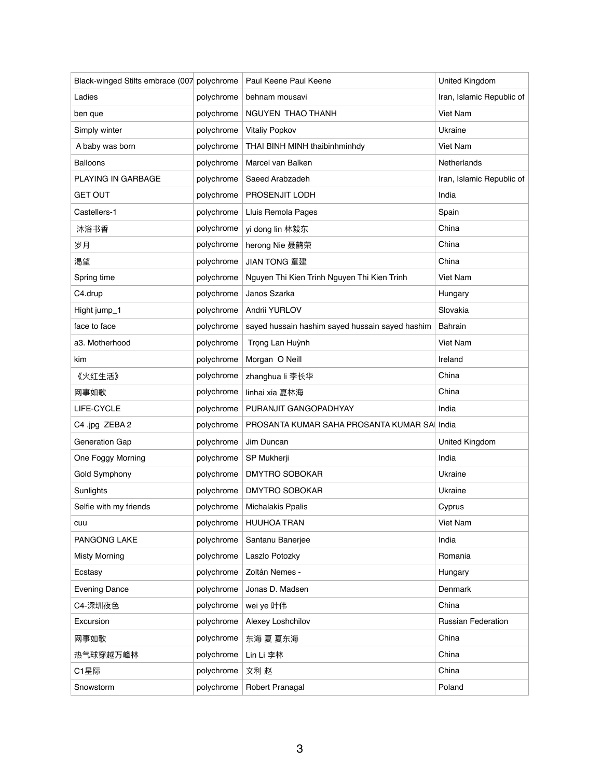| Black-winged Stilts embrace (007 polychrome |            | Paul Keene Paul Keene                           | <b>United Kingdom</b>     |
|---------------------------------------------|------------|-------------------------------------------------|---------------------------|
| Ladies                                      | polychrome | behnam mousavi                                  | Iran, Islamic Republic of |
| ben que                                     | polychrome | NGUYEN THAO THANH                               | Viet Nam                  |
| Simply winter                               | polychrome | <b>Vitaliy Popkov</b>                           | Ukraine                   |
| A baby was born                             | polychrome | THAI BINH MINH thaibinhminhdy                   | Viet Nam                  |
| <b>Balloons</b>                             | polychrome | Marcel van Balken                               | Netherlands               |
| PLAYING IN GARBAGE                          | polychrome | Saeed Arabzadeh                                 | Iran, Islamic Republic of |
| <b>GET OUT</b>                              | polychrome | PROSENJIT LODH                                  | India                     |
| Castellers-1                                | polychrome | Lluis Remola Pages                              | Spain                     |
| 沐浴书香                                        | polychrome | yi dong lin 林毅东                                 | China                     |
| 岁月                                          | polychrome | herong Nie 聂鹤荣                                  | China                     |
| 渇望                                          | polychrome | <b>JIAN TONG 童建</b>                             | China                     |
| Spring time                                 | polychrome | Nguyen Thi Kien Trinh Nguyen Thi Kien Trinh     | Viet Nam                  |
| C4.drup                                     | polychrome | Janos Szarka                                    | Hungary                   |
| Hight jump_1                                | polychrome | Andrii YURLOV                                   | Slovakia                  |
| face to face                                | polychrome | sayed hussain hashim sayed hussain sayed hashim | <b>Bahrain</b>            |
| a3. Motherhood                              | polychrome | Trọng Lan Huỳnh                                 | Viet Nam                  |
| kim                                         | polychrome | Morgan O Neill                                  | Ireland                   |
| 《火红生活》                                      | polychrome | zhanghua li 李长华                                 | China                     |
| 网事如歌                                        | polychrome | linhai xia 夏林海                                  | China                     |
| LIFE-CYCLE                                  | polychrome | PURANJIT GANGOPADHYAY                           | India                     |
| C4 .jpg ZEBA 2                              | polychrome | PROSANTA KUMAR SAHA PROSANTA KUMAR SA India     |                           |
| Generation Gap                              | polychrome | Jim Duncan                                      | <b>United Kingdom</b>     |
| One Foggy Morning                           | polychrome | SP Mukherji                                     | India                     |
| Gold Symphony                               | polychrome | <b>DMYTRO SOBOKAR</b>                           | Ukraine                   |
| Sunlights                                   | polychrome | <b>DMYTRO SOBOKAR</b>                           | Ukraine                   |
| Selfie with my friends                      | polychrome | <b>Michalakis Ppalis</b>                        | Cyprus                    |
| cuu                                         | polychrome | <b>HUUHOA TRAN</b>                              | Viet Nam                  |
| PANGONG LAKE                                | polychrome | Santanu Banerjee                                | India                     |
| <b>Misty Morning</b>                        | polychrome | Laszlo Potozky                                  | Romania                   |
| Ecstasy                                     | polychrome | Zoltán Nemes -                                  | Hungary                   |
| <b>Evening Dance</b>                        | polychrome | Jonas D. Madsen                                 | Denmark                   |
| C4-深圳夜色                                     | polychrome | wei ye 叶伟                                       | China                     |
| Excursion                                   | polychrome | Alexey Loshchilov                               | <b>Russian Federation</b> |
| 网事如歌                                        | polychrome | 东海 夏 夏东海                                        | China                     |
| 热气球穿越万峰林                                    | polychrome | Lin Li 李林                                       | China                     |
| C1星际                                        | polychrome | 文利赵                                             | China                     |
| Snowstorm                                   | polychrome | Robert Pranagal                                 | Poland                    |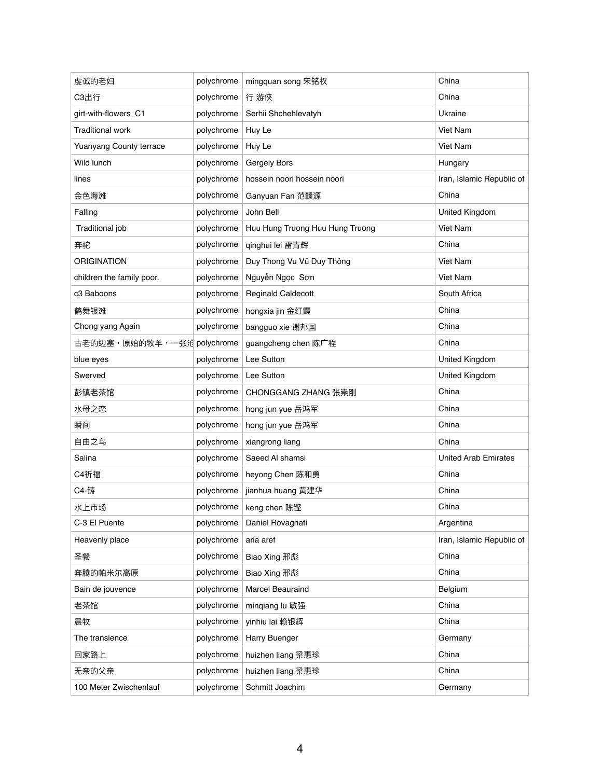| 虔诚的老妇                          | polychrome | mingquan song 宋铭权               | China                       |
|--------------------------------|------------|---------------------------------|-----------------------------|
| C3出行                           | polychrome | 行 游俠                            | China                       |
| girt-with-flowers_C1           | polychrome | Serhii Shchehlevatyh            | Ukraine                     |
| <b>Traditional work</b>        | polychrome | Huy Le                          | Viet Nam                    |
| <b>Yuanyang County terrace</b> | polychrome | Huy Le                          | Viet Nam                    |
| Wild lunch                     | polychrome | Gergely Bors                    | Hungary                     |
| lines                          | polychrome | hossein noori hossein noori     | Iran, Islamic Republic of   |
| 金色海滩                           | polychrome | Ganyuan Fan 范赣源                 | China                       |
| Falling                        | polychrome | John Bell                       | United Kingdom              |
| Traditional job                | polychrome | Huu Hung Truong Huu Hung Truong | Viet Nam                    |
| 奔驼                             | polychrome | qinghui lei 雷青辉                 | China                       |
| <b>ORIGINATION</b>             | polychrome | Duy Thong Vu Vũ Duy Thông       | Viet Nam                    |
| children the family poor.      | polychrome | Nguyễn Ngọc Sơn                 | Viet Nam                    |
| c3 Baboons                     | polychrome | <b>Reginald Caldecott</b>       | South Africa                |
| 鹤舞银滩                           | polychrome | hongxia jin 金红霞                 | China                       |
| Chong yang Again               | polychrome | bangguo xie 谢邦国                 | China                       |
| 古老的边塞,原始的牧羊,一张沧 polychrome     |            | guangcheng chen 陈广程             | China                       |
| blue eyes                      | polychrome | Lee Sutton                      | United Kingdom              |
| Swerved                        | polychrome | Lee Sutton                      | United Kingdom              |
| 彭镇老茶馆                          | polychrome | CHONGGANG ZHANG 张崇刚             | China                       |
| 水母之恋                           | polychrome | hong jun yue 岳鸿军                | China                       |
| 瞬间                             | polychrome | hong jun yue 岳鸿军                | China                       |
| 自由之鸟                           | polychrome | xiangrong liang                 | China                       |
| Salina                         | polychrome | Saeed Al shamsi                 | <b>United Arab Emirates</b> |
| C4祈福                           | polychrome | heyong Chen 陈和勇                 | China                       |
| C4-铸                           | polychrome | jianhua huang 黄建华               | China                       |
| 水上市场                           | polychrome | keng chen 陈铿                    | China                       |
| C-3 El Puente                  | polychrome | Daniel Rovagnati                | Argentina                   |
| Heavenly place                 | polychrome | aria aref                       | Iran, Islamic Republic of   |
| 圣餐                             | polychrome | Biao Xing 邢彪                    | China                       |
| 奔腾的帕米尔高原                       | polychrome | Biao Xing 邢彪                    | China                       |
| Bain de jouvence               | polychrome | <b>Marcel Beauraind</b>         | Belgium                     |
| 老茶馆                            | polychrome | mingiang lu 敏强                  | China                       |
| 晨牧                             | polychrome | yinhiu lai 赖银辉                  | China                       |
| The transience                 | polychrome | Harry Buenger                   | Germany                     |
| 回家路上                           | polychrome | huizhen liang 梁惠珍               | China                       |
| 无奈的父亲                          | polychrome | huizhen liang 梁惠珍               | China                       |
| 100 Meter Zwischenlauf         | polychrome | Schmitt Joachim                 | Germany                     |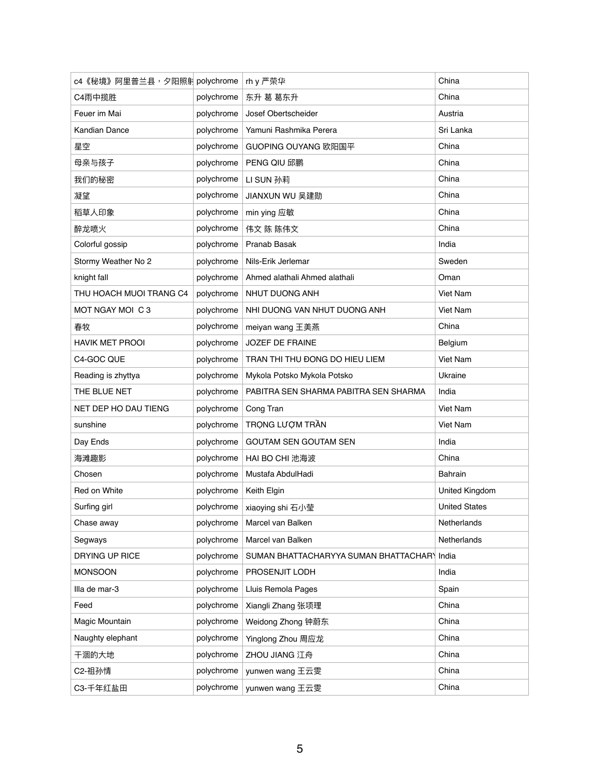| c4《秘境》阿里普兰县,夕阳照射 polychrome |            | rh y 严荣华                                    | China                |
|-----------------------------|------------|---------------------------------------------|----------------------|
| C4雨中揽胜                      | polychrome | 东升 葛 葛东升                                    | China                |
| Feuer im Mai                | polychrome | Josef Obertscheider                         | Austria              |
| <b>Kandian Dance</b>        | polychrome | Yamuni Rashmika Perera                      | Sri Lanka            |
| 星空                          | polychrome | GUOPING OUYANG 欧阳国平                         | China                |
| 母亲与孩子                       | polychrome | <b>PENG QIU 邱鹏</b>                          | China                |
| 我们的秘密                       | polychrome | LI SUN 孙莉                                   | China                |
| 凝望                          | polychrome | JIANXUN WU 吴建勋                              | China                |
| 稻草人印象                       | polychrome | min ying 应敏                                 | China                |
| 醉龙喷火                        | polychrome | 伟文 陈 陈伟文                                    | China                |
| Colorful gossip             | polychrome | Pranab Basak                                | India                |
| Stormy Weather No 2         | polychrome | Nils-Erik Jerlemar                          | Sweden               |
| knight fall                 | polychrome | Ahmed alathali Ahmed alathali               | Oman                 |
| THU HOACH MUOI TRANG C4     | polychrome | NHUT DUONG ANH                              | Viet Nam             |
| MOT NGAY MOI C 3            | polychrome | NHI DUONG VAN NHUT DUONG ANH                | Viet Nam             |
| 春牧                          | polychrome | meiyan wang 王美燕                             | China                |
| <b>HAVIK MET PROOI</b>      | polychrome | <b>JOZEF DE FRAINE</b>                      | Belgium              |
| C4-GOC QUE                  | polychrome | TRAN THI THU ĐONG DO HIEU LIEM              | <b>Viet Nam</b>      |
| Reading is zhyttya          | polychrome | Mykola Potsko Mykola Potsko                 | Ukraine              |
| THE BLUE NET                | polychrome | PABITRA SEN SHARMA PABITRA SEN SHARMA       | India                |
| NET DEP HO DAU TIENG        | polychrome | Cong Tran                                   | Viet Nam             |
| sunshine                    | polychrome | TRONG LƯỢM TRẦN                             | Viet Nam             |
| Day Ends                    | polychrome | <b>GOUTAM SEN GOUTAM SEN</b>                | India                |
| 海滩趣影                        | polychrome | HAI BO CHI 池海波                              | China                |
| Chosen                      | polychrome | Mustafa AbdulHadi                           | <b>Bahrain</b>       |
| Red on White                | polychrome | Keith Elgin                                 | United Kingdom       |
| Surfing girl                | polychrome | xiaoying shi 石小莹                            | <b>United States</b> |
| Chase away                  | polychrome | Marcel van Balken                           | Netherlands          |
| Segways                     | polychrome | Marcel van Balken                           | Netherlands          |
| DRYING UP RICE              | polychrome | SUMAN BHATTACHARYYA SUMAN BHATTACHARY India |                      |
| <b>MONSOON</b>              | polychrome | PROSENJIT LODH                              | India                |
| Illa de mar-3               | polychrome | Lluis Remola Pages                          | Spain                |
| Feed                        | polychrome | Xiangli Zhang 张项理                           | China                |
| Magic Mountain              | polychrome | Weidong Zhong 钟蔚东                           | China                |
| Naughty elephant            | polychrome | Yinglong Zhou 周应龙                           | China                |
| 干涸的大地                       | polychrome | ZHOU JIANG 江舟                               | China                |
| C2-祖孙情                      | polychrome | yunwen wang 王云雯                             | China                |
| C3-千年红盐田                    | polychrome | yunwen wang 王云雯                             | China                |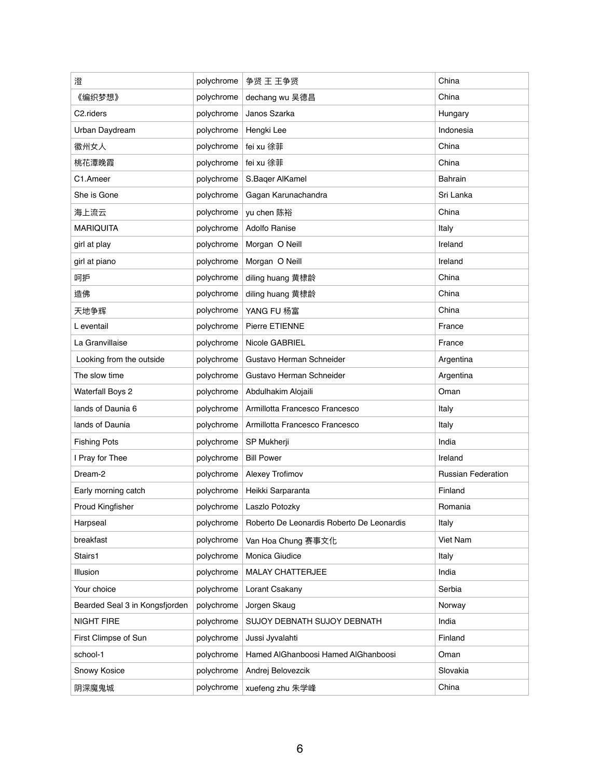| 澄                              | polychrome | 争贤 王 王争贤                                  | China                     |
|--------------------------------|------------|-------------------------------------------|---------------------------|
| 《编织梦想》                         | polychrome | dechang wu 吴德昌                            | China                     |
| C2.riders                      | polychrome | Janos Szarka                              | Hungary                   |
| Urban Daydream                 | polychrome | Hengki Lee                                | Indonesia                 |
| 徽州女人                           | polychrome | fei xu 徐菲                                 | China                     |
| 桃花潭晚霞                          | polychrome | fei xu 徐菲                                 | China                     |
| C1.Ameer                       | polychrome | S.Baqer AlKamel                           | <b>Bahrain</b>            |
| She is Gone                    | polychrome | Gagan Karunachandra                       | Sri Lanka                 |
| 海上流云                           | polychrome | yu chen 陈裕                                | China                     |
| <b>MARIQUITA</b>               | polychrome | <b>Adolfo Ranise</b>                      | Italy                     |
| girl at play                   | polychrome | Morgan O Neill                            | Ireland                   |
| girl at piano                  | polychrome | Morgan O Neill                            | Ireland                   |
| 呵护                             | polychrome | diling huang 黄棣龄                          | China                     |
| 造佛                             | polychrome | diling huang 黄棣龄                          | China                     |
| 天地争辉                           | polychrome | YANG FU 杨富                                | China                     |
| L eventail                     | polychrome | Pierre ETIENNE                            | France                    |
| La Granvillaise                | polychrome | Nicole GABRIEL                            | France                    |
| Looking from the outside       | polychrome | Gustavo Herman Schneider                  | Argentina                 |
| The slow time                  | polychrome | Gustavo Herman Schneider                  | Argentina                 |
| <b>Waterfall Boys 2</b>        | polychrome | Abdulhakim Alojaili                       | Oman                      |
| lands of Daunia 6              | polychrome | Armillotta Francesco Francesco            | Italy                     |
| lands of Daunia                | polychrome | Armillotta Francesco Francesco            | Italy                     |
| <b>Fishing Pots</b>            | polychrome | SP Mukherji                               | India                     |
| I Pray for Thee                | polychrome | <b>Bill Power</b>                         | Ireland                   |
| Dream-2                        | polychrome | Alexey Trofimov                           | <b>Russian Federation</b> |
| Early morning catch            | polychrome | Heikki Sarparanta                         | Finland                   |
| Proud Kingfisher               | polychrome | Laszlo Potozky                            | Romania                   |
| Harpseal                       | polychrome | Roberto De Leonardis Roberto De Leonardis | Italy                     |
| breakfast                      | polychrome | Van Hoa Chung 赛事文化                        | <b>Viet Nam</b>           |
| Stairs1                        | polychrome | Monica Giudice                            | Italy                     |
| Illusion                       | polychrome | <b>MALAY CHATTERJEE</b>                   | India                     |
| Your choice                    | polychrome | Lorant Csakany                            | Serbia                    |
| Bearded Seal 3 in Kongsfjorden | polychrome | Jorgen Skaug                              | Norway                    |
| <b>NIGHT FIRE</b>              | polychrome | SUJOY DEBNATH SUJOY DEBNATH               | India                     |
| First Climpse of Sun           | polychrome | Jussi Jyvalahti                           | Finland                   |
| school-1                       | polychrome | Hamed AlGhanboosi Hamed AlGhanboosi       | Oman                      |
| Snowy Kosice                   | polychrome | Andrej Belovezcik                         | Slovakia                  |
| 阴深魔鬼城                          | polychrome | xuefeng zhu 朱学峰                           | China                     |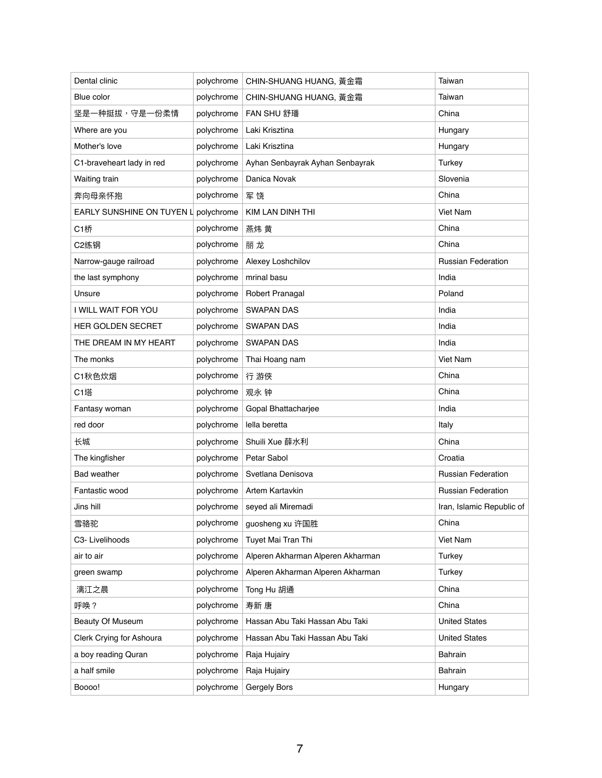| Dental clinic                        | polychrome | CHIN-SHUANG HUANG, 黃金霜            | Taiwan                    |
|--------------------------------------|------------|-----------------------------------|---------------------------|
| Blue color                           | polychrome | CHIN-SHUANG HUANG, 黃金霜            | Taiwan                    |
| 坚是一种挺拔,守是一份柔情                        | polychrome | <b>FAN SHU 舒璠</b>                 | China                     |
| Where are you                        | polychrome | Laki Krisztina                    | Hungary                   |
| Mother's love                        | polychrome | Laki Krisztina                    | Hungary                   |
| C1-braveheart lady in red            | polychrome | Ayhan Senbayrak Ayhan Senbayrak   | <b>Turkey</b>             |
| Waiting train                        | polychrome | Danica Novak                      | Slovenia                  |
| 奔向母亲怀抱                               | polychrome | 军饶                                | China                     |
| EARLY SUNSHINE ON TUYEN L polychrome |            | <b>KIM LAN DINH THI</b>           | <b>Viet Nam</b>           |
| <b>C1桥</b>                           | polychrome | 燕炜 黄                              | China                     |
| C2练钢                                 | polychrome | 丽龙                                | China                     |
| Narrow-gauge railroad                | polychrome | Alexey Loshchilov                 | <b>Russian Federation</b> |
| the last symphony                    | polychrome | mrinal basu                       | India                     |
| Unsure                               | polychrome | Robert Pranagal                   | Poland                    |
| I WILL WAIT FOR YOU                  | polychrome | <b>SWAPAN DAS</b>                 | India                     |
| HER GOLDEN SECRET                    | polychrome | <b>SWAPAN DAS</b>                 | India                     |
| THE DREAM IN MY HEART                | polychrome | <b>SWAPAN DAS</b>                 | India                     |
| The monks                            | polychrome | Thai Hoang nam                    | <b>Viet Nam</b>           |
| C1秋色炊烟                               | polychrome | 行 游俠                              | China                     |
| <b>C1塔</b>                           | polychrome | 观永 钟                              | China                     |
| Fantasy woman                        | polychrome | Gopal Bhattacharjee               | India                     |
| red door                             | polychrome | lella beretta                     | Italy                     |
| 长城                                   | polychrome | Shuili Xue 薛水利                    | China                     |
| The kingfisher                       | polychrome | Petar Sabol                       | Croatia                   |
| <b>Bad weather</b>                   | polychrome | Svetlana Denisova                 | <b>Russian Federation</b> |
| Fantastic wood                       | polychrome | Artem Kartavkin                   | <b>Russian Federation</b> |
| Jins hill                            | polychrome | seyed ali Miremadi                | Iran, Islamic Republic of |
| 雪骆驼                                  | polychrome | guosheng xu 许国胜                   | China                     |
| C3- Livelihoods                      | polychrome | Tuyet Mai Tran Thi                | Viet Nam                  |
| air to air                           | polychrome | Alperen Akharman Alperen Akharman | <b>Turkey</b>             |
| green swamp                          | polychrome | Alperen Akharman Alperen Akharman | <b>Turkey</b>             |
| 漓江之晨                                 | polychrome | Tong Hu 胡通                        | China                     |
| 呼唤?                                  | polychrome | 寿新 唐                              | China                     |
| <b>Beauty Of Museum</b>              | polychrome | Hassan Abu Taki Hassan Abu Taki   | <b>United States</b>      |
| Clerk Crying for Ashoura             | polychrome | Hassan Abu Taki Hassan Abu Taki   | <b>United States</b>      |
| a boy reading Quran                  | polychrome | Raja Hujairy                      | <b>Bahrain</b>            |
| a half smile                         | polychrome | Raja Hujairy                      | <b>Bahrain</b>            |
| Boooo!                               | polychrome | Gergely Bors                      | Hungary                   |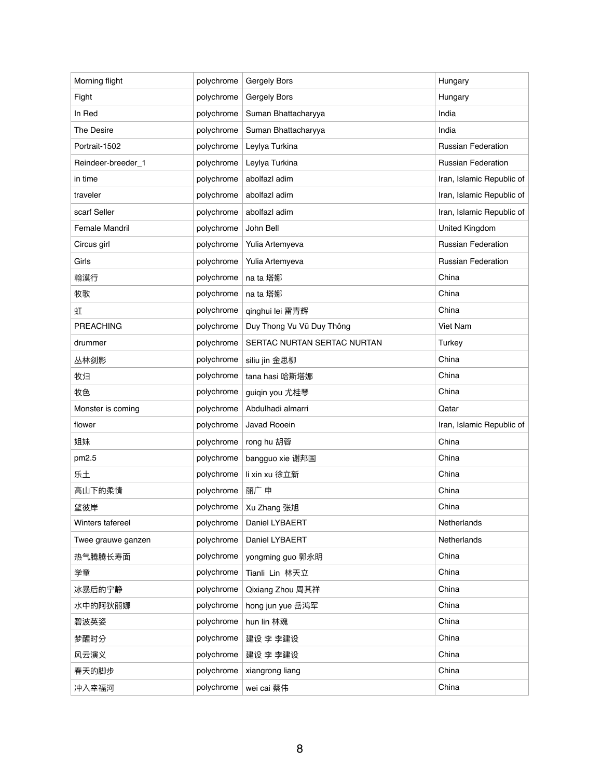| Morning flight     | polychrome | Gergely Bors                | Hungary                   |
|--------------------|------------|-----------------------------|---------------------------|
| Fight              | polychrome | Gergely Bors                | Hungary                   |
| In Red             | polychrome | Suman Bhattacharyya         | India                     |
| <b>The Desire</b>  | polychrome | Suman Bhattacharyya         | India                     |
| Portrait-1502      | polychrome | Leylya Turkina              | <b>Russian Federation</b> |
| Reindeer-breeder_1 | polychrome | Leylya Turkina              | <b>Russian Federation</b> |
| in time            | polychrome | abolfazl adim               | Iran, Islamic Republic of |
| traveler           | polychrome | abolfazl adim               | Iran, Islamic Republic of |
| scarf Seller       | polychrome | abolfazl adim               | Iran, Islamic Republic of |
| Female Mandril     | polychrome | John Bell                   | United Kingdom            |
| Circus girl        | polychrome | Yulia Artemyeva             | <b>Russian Federation</b> |
| Girls              | polychrome | Yulia Artemyeva             | <b>Russian Federation</b> |
| 翰漠行                | polychrome | na ta 塔娜                    | China                     |
| 牧歌                 | polychrome | na ta 塔娜                    | China                     |
| 虹                  | polychrome | qinghui lei 雷青辉             | China                     |
| <b>PREACHING</b>   | polychrome | Duy Thong Vu Vũ Duy Thông   | Viet Nam                  |
| drummer            | polychrome | SERTAC NURTAN SERTAC NURTAN | <b>Turkey</b>             |
| 丛林剑影               | polychrome | siliu jin 金思柳               | China                     |
| 牧归                 | polychrome | tana hasi 哈斯塔娜              | China                     |
| 牧色                 | polychrome | guiqin you 尤桂琴              | China                     |
| Monster is coming  | polychrome | Abdulhadi almarri           | Qatar                     |
| flower             | polychrome | Javad Rooein                | Iran, Islamic Republic of |
| 姐妹                 | polychrome | rong hu 胡蓉                  | China                     |
| pm2.5              | polychrome | bangguo xie 谢邦国             | China                     |
| 乐土                 | polychrome | li xin xu 徐立新               | China                     |
| 高山下的柔情             | polychrome | 丽广申                         | China                     |
| 望彼岸                | polychrome | Xu Zhang 张旭                 | China                     |
| Winters tafereel   | polychrome | Daniel LYBAERT              | Netherlands               |
| Twee grauwe ganzen | polychrome | Daniel LYBAERT              | Netherlands               |
| 热气腾腾长寿面            | polychrome | yongming guo 郭永明            | China                     |
| 学童                 | polychrome | Tianli Lin 林天立              | China                     |
| 冰暴后的宁静             | polychrome | Qixiang Zhou 周其祥            | China                     |
| 水中的阿狄丽娜            | polychrome | hong jun yue 岳鸿军            | China                     |
| 碧波英姿               | polychrome | hun lin 林魂                  | China                     |
| 梦醒时分               | polychrome | 建设 李 李建设                    | China                     |
| 风云演义               | polychrome | 建设 李 李建设                    | China                     |
| 春天的脚步              | polychrome | xiangrong liang             | China                     |
| 冲入幸福河              | polychrome | wei cai 蔡伟                  | China                     |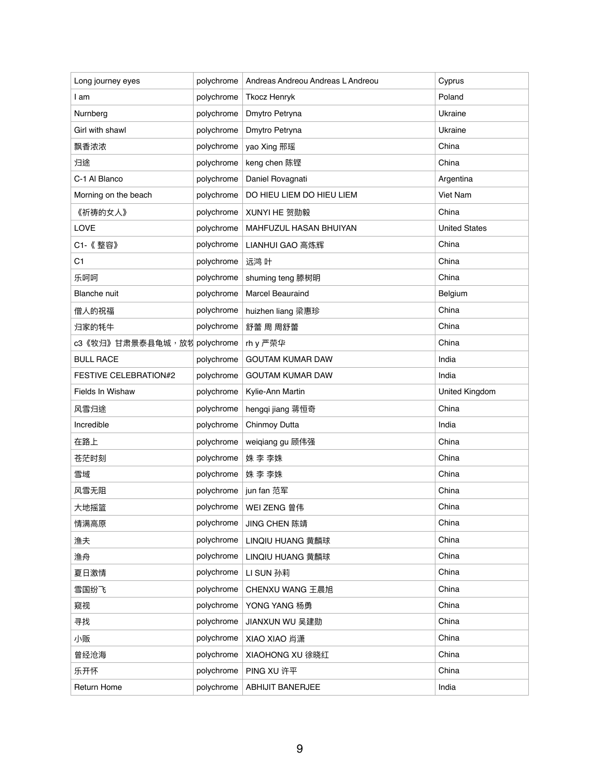| Long journey eyes            | polychrome | Andreas Andreou Andreas L Andreou | Cyprus               |
|------------------------------|------------|-----------------------------------|----------------------|
| I am                         | polychrome | <b>Tkocz Henryk</b>               | Poland               |
| Nurnberg                     | polychrome | Dmytro Petryna                    | Ukraine              |
| Girl with shawl              | polychrome | Dmytro Petryna                    | Ukraine              |
| 飘香浓浓                         | polychrome | yao Xing 邢瑶                       | China                |
| 归途                           | polychrome | keng chen 陈铿                      | China                |
| C-1 Al Blanco                | polychrome | Daniel Rovagnati                  | Argentina            |
| Morning on the beach         | polychrome | DO HIEU LIEM DO HIEU LIEM         | Viet Nam             |
| 《祈祷的女人》                      | polychrome | XUNYI HE 贺勋毅                      | China                |
| <b>LOVE</b>                  | polychrome | MAHFUZUL HASAN BHUIYAN            | <b>United States</b> |
| C1-《整容》                      | polychrome | LIANHUI GAO 高炼辉                   | China                |
| C <sub>1</sub>               | polychrome | 远鸿 叶                              | China                |
| 乐呵呵                          | polychrome | shuming teng 滕树明                  | China                |
| <b>Blanche</b> nuit          | polychrome | <b>Marcel Beauraind</b>           | Belgium              |
| 僧人的祝福                        | polychrome | huizhen liang 梁惠珍                 | China                |
| 归家的牦牛                        | polychrome | 舒蕾 周 周舒蕾                          | China                |
| c3《牧归》甘肃景泰县龟城,放牧 polychrome  |            | rh y 严荣华                          | China                |
| <b>BULL RACE</b>             | polychrome | <b>GOUTAM KUMAR DAW</b>           | India                |
| <b>FESTIVE CELEBRATION#2</b> | polychrome | <b>GOUTAM KUMAR DAW</b>           | India                |
| Fields In Wishaw             | polychrome | Kylie-Ann Martin                  | United Kingdom       |
| 风雪归途                         | polychrome | hengqi jiang 蒋恒奇                  | China                |
| Incredible                   | polychrome | Chinmoy Dutta                     | India                |
| 在路上                          | polychrome | weiqiang gu 顾伟强                   | China                |
| 苍茫时刻                         | polychrome | 姝 李 李姝                            | China                |
| 雪域                           | polychrome | 姝 李 李姝                            | China                |
| 风雪无阻                         | polychrome | jun fan 范军                        | China                |
| 大地摇篮                         | polychrome | WEI ZENG 曾伟                       | China                |
| 情满高原                         | polychrome | JING CHEN 陈靖                      | China                |
| 渔夫                           | polychrome | LINQIU HUANG 黄麟球                  | China                |
| 渔舟                           | polychrome | LINQIU HUANG 黄麟球                  | China                |
| 夏日激情                         | polychrome | LI SUN 孙莉                         | China                |
| 雪国纷飞                         | polychrome | CHENXU WANG 王晨旭                   | China                |
| 窥视                           | polychrome | YONG YANG 杨勇                      | China                |
| 寻找                           | polychrome | JIANXUN WU 吴建勋                    | China                |
| 小贩                           | polychrome | XIAO XIAO 肖潇                      | China                |
| 曾经沧海                         | polychrome | XIAOHONG XU 徐晓红                   | China                |
| 乐开怀                          | polychrome | PING XU 许平                        | China                |
| Return Home                  | polychrome | <b>ABHIJIT BANERJEE</b>           | India                |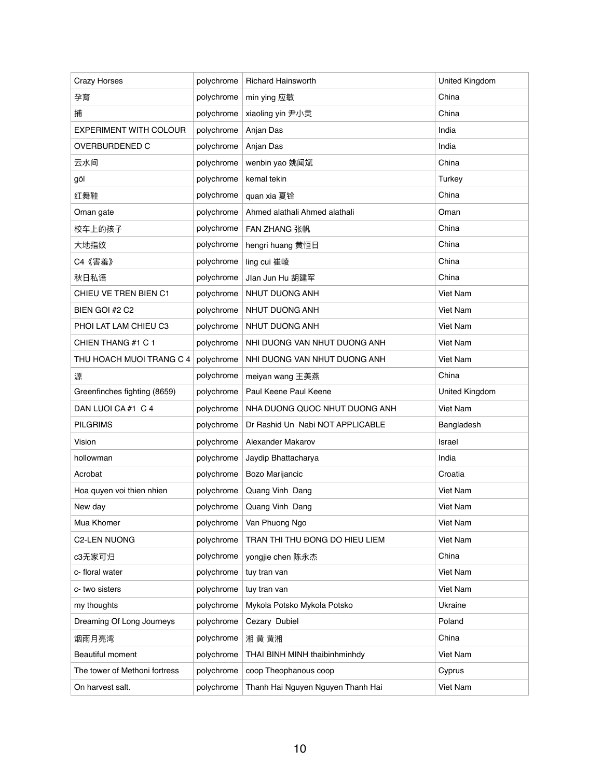| <b>Crazy Horses</b>           | polychrome | <b>Richard Hainsworth</b>         | <b>United Kingdom</b> |
|-------------------------------|------------|-----------------------------------|-----------------------|
| 孕育                            | polychrome | min ying 应敏                       | China                 |
| 捕                             | polychrome | xiaoling yin 尹小灵                  | China                 |
| <b>EXPERIMENT WITH COLOUR</b> | polychrome | Anjan Das                         | India                 |
| <b>OVERBURDENED C</b>         | polychrome | Anjan Das                         | India                 |
| 云水间                           | polychrome | wenbin yao 姚闻斌                    | China                 |
| göl                           | polychrome | kemal tekin                       | Turkey                |
| 红舞鞋                           | polychrome | quan xia 夏铨                       | China                 |
| Oman gate                     | polychrome | Ahmed alathali Ahmed alathali     | Oman                  |
| 校车上的孩子                        | polychrome | <b>FAN ZHANG 张帆</b>               | China                 |
| 大地指纹                          | polychrome | hengri huang 黄恒日                  | China                 |
| C4《害羞》                        | polychrome | ling cui 崔崚                       | China                 |
| 秋日私语                          | polychrome | Jlan Jun Hu 胡建军                   | China                 |
| CHIEU VE TREN BIEN C1         | polychrome | NHUT DUONG ANH                    | Viet Nam              |
| BIEN GOI #2 C2                | polychrome | NHUT DUONG ANH                    | Viet Nam              |
| PHOI LAT LAM CHIEU C3         | polychrome | NHUT DUONG ANH                    | <b>Viet Nam</b>       |
| CHIEN THANG #1 C 1            | polychrome | NHI DUONG VAN NHUT DUONG ANH      | Viet Nam              |
| THU HOACH MUOI TRANG C 4      | polychrome | NHI DUONG VAN NHUT DUONG ANH      | Viet Nam              |
| 源                             | polychrome | meiyan wang 王美燕                   | China                 |
| Greenfinches fighting (8659)  | polychrome | Paul Keene Paul Keene             | United Kingdom        |
| DAN LUOI CA #1 C 4            | polychrome | NHA DUONG QUOC NHUT DUONG ANH     | Viet Nam              |
| <b>PILGRIMS</b>               | polychrome | Dr Rashid Un Nabi NOT APPLICABLE  | Bangladesh            |
| Vision                        | polychrome | Alexander Makarov                 | Israel                |
| hollowman                     | polychrome | Jaydip Bhattacharya               | India                 |
| Acrobat                       | polychrome | Bozo Marijancic                   | Croatia               |
| Hoa quyen voi thien nhien     | polychrome | Quang Vinh Dang                   | Viet Nam              |
| New day                       | polychrome | Quang Vinh Dang                   | <b>Viet Nam</b>       |
| Mua Khomer                    | polychrome | Van Phuong Ngo                    | Viet Nam              |
| <b>C2-LEN NUONG</b>           | polychrome | TRAN THI THU ĐONG DO HIEU LIEM    | Viet Nam              |
| c3无家可归                        | polychrome | yongjie chen 陈永杰                  | China                 |
| c- floral water               | polychrome | tuy tran van                      | <b>Viet Nam</b>       |
| c-two sisters                 | polychrome | tuy tran van                      | Viet Nam              |
| my thoughts                   | polychrome | Mykola Potsko Mykola Potsko       | Ukraine               |
| Dreaming Of Long Journeys     | polychrome | Cezary Dubiel                     | Poland                |
| 烟雨月亮湾                         | polychrome | 湘 黄 黄湘                            | China                 |
| <b>Beautiful moment</b>       | polychrome | THAI BINH MINH thaibinhminhdy     | Viet Nam              |
| The tower of Methoni fortress | polychrome | coop Theophanous coop             | Cyprus                |
| On harvest salt.              | polychrome | Thanh Hai Nguyen Nguyen Thanh Hai | Viet Nam              |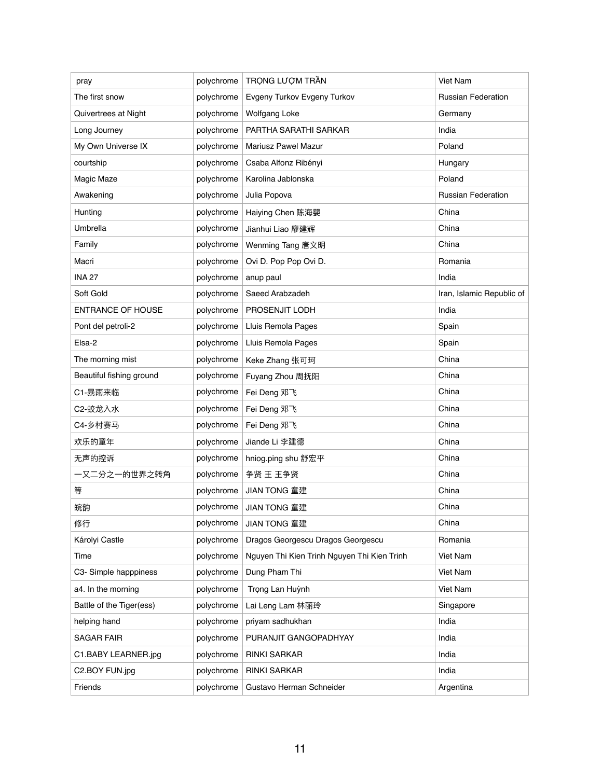| pray                     | polychrome | TRONG LƯỢM TRẦN                             | Viet Nam                  |
|--------------------------|------------|---------------------------------------------|---------------------------|
| The first snow           | polychrome | Evgeny Turkov Evgeny Turkov                 | <b>Russian Federation</b> |
| Quivertrees at Night     | polychrome | <b>Wolfgang Loke</b>                        | Germany                   |
| Long Journey             | polychrome | PARTHA SARATHI SARKAR                       | India                     |
| My Own Universe IX       | polychrome | <b>Mariusz Pawel Mazur</b>                  | Poland                    |
| courtship                | polychrome | Csaba Alfonz Ribényi                        | Hungary                   |
| Magic Maze               | polychrome | Karolina Jablonska                          | Poland                    |
| Awakening                | polychrome | Julia Popova                                | <b>Russian Federation</b> |
| Hunting                  | polychrome | Haiying Chen 陈海婴                            | China                     |
| <b>Umbrella</b>          | polychrome | Jianhui Liao 廖建辉                            | China                     |
| Family                   | polychrome | Wenming Tang 唐文明                            | China                     |
| Macri                    | polychrome | Ovi D. Pop Pop Ovi D.                       | Romania                   |
| <b>INA 27</b>            | polychrome | anup paul                                   | India                     |
| Soft Gold                | polychrome | Saeed Arabzadeh                             | Iran, Islamic Republic of |
| <b>ENTRANCE OF HOUSE</b> | polychrome | PROSENJIT LODH                              | India                     |
| Pont del petroli-2       | polychrome | Lluis Remola Pages                          | Spain                     |
| Elsa-2                   | polychrome | Lluis Remola Pages                          | Spain                     |
| The morning mist         | polychrome | Keke Zhang 张可珂                              | China                     |
| Beautiful fishing ground | polychrome | Fuyang Zhou 周抚阳                             | China                     |
| C1-暴雨来临                  | polychrome | Fei Deng 邓飞                                 | China                     |
| C2-蛟龙入水                  | polychrome | Fei Deng 邓飞                                 | China                     |
| C4-乡村赛马                  | polychrome | Fei Deng 邓飞                                 | China                     |
| 欢乐的童年                    | polychrome | Jiande Li 李建德                               | China                     |
| 无声的控诉                    | polychrome | hniog.ping shu 舒宏平                          | China                     |
| 一又二分之一的世界之转角             | polychrome | 争贤 王 王争贤                                    | China                     |
| 等                        | polychrome | JIAN TONG 童建                                | China                     |
| 皖韵                       | polychrome | JIAN TONG 童建                                | China                     |
| 修行                       | polychrome | JIAN TONG 童建                                | China                     |
| Károlyi Castle           | polychrome | Dragos Georgescu Dragos Georgescu           | Romania                   |
| Time                     | polychrome | Nguyen Thi Kien Trinh Nguyen Thi Kien Trinh | Viet Nam                  |
| C3- Simple happpiness    | polychrome | Dung Pham Thi                               | Viet Nam                  |
| a4. In the morning       | polychrome | Trọng Lan Huỳnh                             | Viet Nam                  |
| Battle of the Tiger(ess) | polychrome | Lai Leng Lam 林丽玲                            | Singapore                 |
| helping hand             | polychrome | priyam sadhukhan                            | India                     |
| <b>SAGAR FAIR</b>        | polychrome | PURANJIT GANGOPADHYAY                       | India                     |
| C1.BABY LEARNER.jpg      | polychrome | <b>RINKI SARKAR</b>                         | India                     |
| C2.BOY FUN.jpg           | polychrome | <b>RINKI SARKAR</b>                         | India                     |
| Friends                  | polychrome | Gustavo Herman Schneider                    | Argentina                 |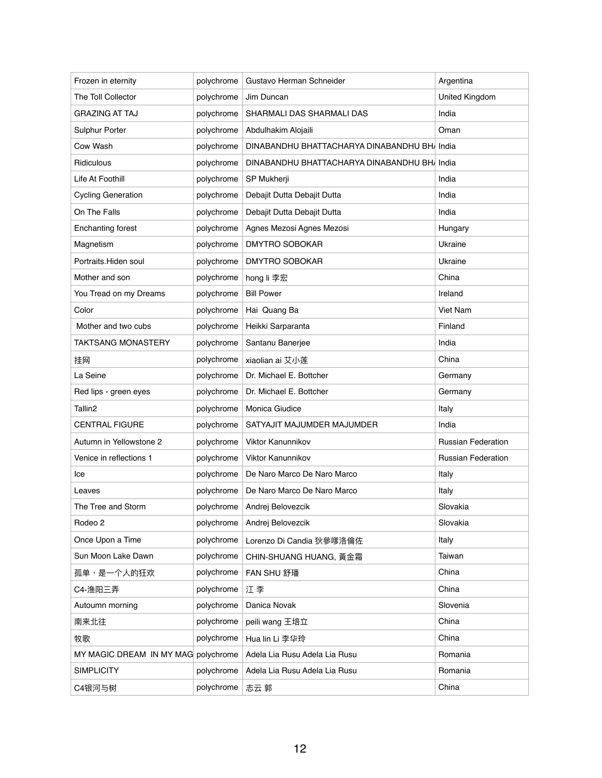| Frozen in eternity                  | polychrome | Gustavo Herman Schneider                     | Argentina                 |
|-------------------------------------|------------|----------------------------------------------|---------------------------|
| The Toll Collector                  | polychrome | Jim Duncan                                   | United Kingdom            |
| <b>GRAZING AT TAJ</b>               | polychrome | SHARMALI DAS SHARMALI DAS                    | India                     |
| Sulphur Porter                      | polychrome | Abdulhakim Alojaili                          | Oman                      |
| Cow Wash                            | polychrome | DINABANDHU BHATTACHARYA DINABANDHU BHA India |                           |
| Ridiculous                          | polychrome | DINABANDHU BHATTACHARYA DINABANDHU BHAIndia  |                           |
| Life At Foothill                    | polychrome | SP Mukherji                                  | India                     |
| <b>Cycling Generation</b>           | polychrome | Debajit Dutta Debajit Dutta                  | India                     |
| On The Falls                        | polychrome | Debajit Dutta Debajit Dutta                  | India                     |
| <b>Enchanting forest</b>            | polychrome | Agnes Mezosi Agnes Mezosi                    | Hungary                   |
| Magnetism                           | polychrome | <b>DMYTRO SOBOKAR</b>                        | Ukraine                   |
| Portraits. Hiden soul               | polychrome | <b>DMYTRO SOBOKAR</b>                        | Ukraine                   |
| Mother and son                      | polychrome | hong li 李宏                                   | China                     |
| You Tread on my Dreams              | polychrome | <b>Bill Power</b>                            | Ireland                   |
| Color                               | polychrome | Hai Quang Ba                                 | Viet Nam                  |
| Mother and two cubs                 | polychrome | Heikki Sarparanta                            | Finland                   |
| <b>TAKTSANG MONASTERY</b>           | polychrome | Santanu Banerjee                             | India                     |
| 挂网                                  | polychrome | xiaolian ai 艾小莲                              | China                     |
| La Seine                            | polychrome | Dr. Michael E. Bottcher                      | Germany                   |
| Red lips - green eyes               | polychrome | Dr. Michael E. Bottcher                      | Germany                   |
| Tallin <sub>2</sub>                 | polychrome | Monica Giudice                               | Italy                     |
| <b>CENTRAL FIGURE</b>               | polychrome | SATYAJIT MAJUMDER MAJUMDER                   | India                     |
| Autumn in Yellowstone 2             | polychrome | Viktor Kanunnikov                            | <b>Russian Federation</b> |
| Venice in reflections 1             | polychrome | Viktor Kanunnikov                            | <b>Russian Federation</b> |
| Ice                                 | polychrome | De Naro Marco De Naro Marco                  | Italy                     |
| Leaves                              | polychrome | De Naro Marco De Naro Marco                  | Italy                     |
| The Tree and Storm                  | polychrome | Andrej Belovezcik                            | Slovakia                  |
| Rodeo 2                             | polychrome | Andrej Belovezcik                            | Slovakia                  |
| Once Upon a Time                    | polychrome | Lorenzo Di Candia 狄參嗲洛倫佐                     | Italy                     |
| Sun Moon Lake Dawn                  | polychrome | CHIN-SHUANG HUANG, 黃金霜                       | Taiwan                    |
| 孤单,是一个人的狂欢                          | polychrome | FAN SHU 舒璠                                   | China                     |
| C4-渔阳三弄                             | polychrome | 江李                                           | China                     |
| Autoumn morning                     | polychrome | Danica Novak                                 | Slovenia                  |
| 南来北往                                | polychrome | peili wang 王培立                               | China                     |
| 牧歌                                  | polychrome | Hua lin Li 李华玲                               | China                     |
| MY MAGIC DREAM IN MY MAG polychrome |            | Adela Lia Rusu Adela Lia Rusu                | Romania                   |
| <b>SIMPLICITY</b>                   | polychrome | Adela Lia Rusu Adela Lia Rusu                | Romania                   |
| C4银河与树                              | polychrome | 志云 郭                                         | China                     |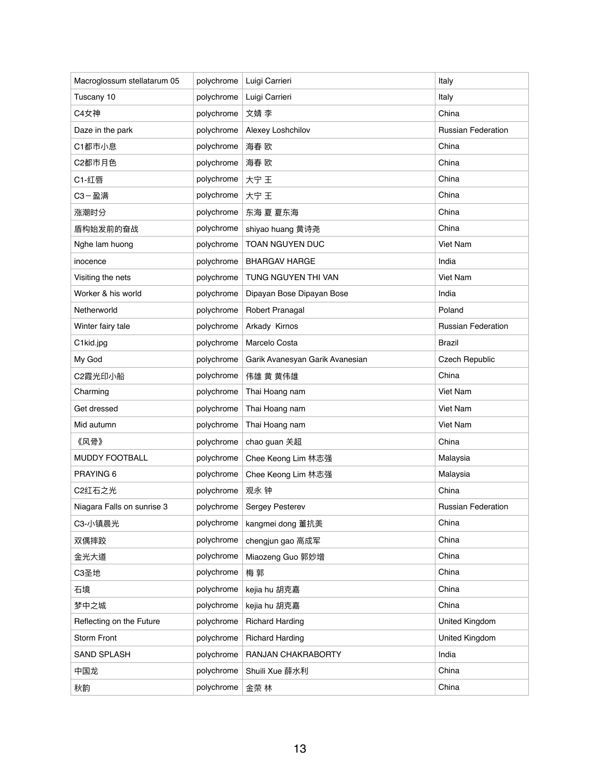| Macroglossum stellatarum 05 | polychrome | Luigi Carrieri                  | Italy                     |
|-----------------------------|------------|---------------------------------|---------------------------|
| Tuscany 10                  | polychrome | Luigi Carrieri                  | Italy                     |
| C4女神                        | polychrome | 文婧 李                            | China                     |
| Daze in the park            | polychrome | Alexey Loshchilov               | <b>Russian Federation</b> |
| C1都市小息                      | polychrome | 海春 欧                            | China                     |
| C2都市月色                      | polychrome | 海春 欧                            | China                     |
| C1-红唇                       | polychrome | 大宁 王                            | China                     |
| C3-盈满                       | polychrome | 大宁 王                            | China                     |
| 涨潮时分                        | polychrome | 东海 夏 夏东海                        | China                     |
| 盾构始发前的奋战                    | polychrome | shiyao huang 黄诗尧                | China                     |
| Nghe lam huong              | polychrome | <b>TOAN NGUYEN DUC</b>          | Viet Nam                  |
| inocence                    | polychrome | <b>BHARGAV HARGE</b>            | India                     |
| Visiting the nets           | polychrome | TUNG NGUYEN THI VAN             | <b>Viet Nam</b>           |
| Worker & his world          | polychrome | Dipayan Bose Dipayan Bose       | India                     |
| Netherworld                 | polychrome | Robert Pranagal                 | Poland                    |
| Winter fairy tale           | polychrome | Arkady Kirnos                   | <b>Russian Federation</b> |
| C1kid.jpg                   | polychrome | Marcelo Costa                   | <b>Brazil</b>             |
| My God                      | polychrome | Garik Avanesyan Garik Avanesian | <b>Czech Republic</b>     |
| C2霞光印小船                     | polychrome | 伟雄 黄 黄伟雄                        | China                     |
| Charming                    | polychrome | Thai Hoang nam                  | <b>Viet Nam</b>           |
| Get dressed                 | polychrome | Thai Hoang nam                  | Viet Nam                  |
| Mid autumn                  | polychrome | Thai Hoang nam                  | Viet Nam                  |
| 《风骨》                        | polychrome | chao guan 关超                    | China                     |
| <b>MUDDY FOOTBALL</b>       | polychrome | Chee Keong Lim 林志强              | Malaysia                  |
| PRAYING 6                   | polychrome | Chee Keong Lim 林志强              | Malaysia                  |
| C2红石之光                      | polychrome | 观永 钟                            | China                     |
| Niagara Falls on sunrise 3  | polychrome | <b>Sergey Pesterev</b>          | <b>Russian Federation</b> |
| C3-小镇晨光                     | polychrome | kangmei dong 董抗美                | China                     |
| 双偶摔跤                        | polychrome | chengjun gao 高成军                | China                     |
| 金光大道                        | polychrome | Miaozeng Guo 郭妙增                | China                     |
| C3圣地                        | polychrome | 梅郭                              | China                     |
| 石境                          | polychrome | kejia hu 胡克嘉                    | China                     |
| 梦中之城                        | polychrome | kejia hu 胡克嘉                    | China                     |
| Reflecting on the Future    | polychrome | <b>Richard Harding</b>          | United Kingdom            |
| <b>Storm Front</b>          | polychrome | <b>Richard Harding</b>          | United Kingdom            |
| <b>SAND SPLASH</b>          | polychrome | RANJAN CHAKRABORTY              | India                     |
| 中国龙                         | polychrome | Shuili Xue 薛水利                  | China                     |
| 秋韵                          | polychrome | 金荣 林                            | China                     |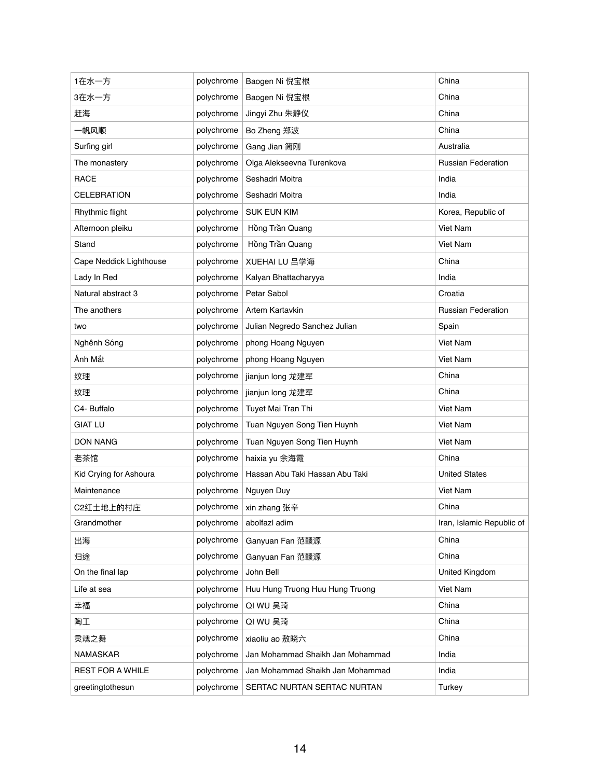| 1在水一方                   | polychrome | Baogen Ni 倪宝根                    | China                     |
|-------------------------|------------|----------------------------------|---------------------------|
| 3在水一方                   | polychrome | Baogen Ni 倪宝根                    | China                     |
| 赶海                      | polychrome | Jingyi Zhu 朱静仪                   | China                     |
| 一帆风顺                    | polychrome | Bo Zheng 郑波                      | China                     |
| Surfing girl            | polychrome | Gang Jian 简刚                     | Australia                 |
| The monastery           | polychrome | Olga Alekseevna Turenkova        | <b>Russian Federation</b> |
| <b>RACE</b>             | polychrome | Seshadri Moitra                  | India                     |
| <b>CELEBRATION</b>      | polychrome | Seshadri Moitra                  | India                     |
| Rhythmic flight         | polychrome | <b>SUK EUN KIM</b>               | Korea, Republic of        |
| Afternoon pleiku        | polychrome | Hồng Trần Quang                  | <b>Viet Nam</b>           |
| Stand                   | polychrome | Hồng Trần Quang                  | Viet Nam                  |
| Cape Neddick Lighthouse | polychrome | XUEHAI LU 吕学海                    | China                     |
| Lady In Red             | polychrome | Kalyan Bhattacharyya             | India                     |
| Natural abstract 3      | polychrome | Petar Sabol                      | Croatia                   |
| The anothers            | polychrome | Artem Kartavkin                  | <b>Russian Federation</b> |
| two                     | polychrome | Julian Negredo Sanchez Julian    | Spain                     |
| Nghênh Sóng             | polychrome | phong Hoang Nguyen               | Viet Nam                  |
| Ánh Mắt                 | polychrome | phong Hoang Nguyen               | Viet Nam                  |
| 纹理                      | polychrome | jianjun long 龙建军                 | China                     |
| 纹理                      | polychrome | jianjun long 龙建军                 | China                     |
| C4- Buffalo             | polychrome | Tuyet Mai Tran Thi               | Viet Nam                  |
| <b>GIAT LU</b>          | polychrome | Tuan Nguyen Song Tien Huynh      | Viet Nam                  |
| <b>DON NANG</b>         | polychrome | Tuan Nguyen Song Tien Huynh      | Viet Nam                  |
| 老茶馆                     | polychrome | haixia yu 余海霞                    | China                     |
| Kid Crying for Ashoura  | polychrome | Hassan Abu Taki Hassan Abu Taki  | <b>United States</b>      |
| Maintenance             | polychrome | Nguyen Duy                       | Viet Nam                  |
| C2红土地上的村庄               | polychrome | xin zhang 张辛                     | China                     |
| Grandmother             | polychrome | abolfazl adim                    | Iran, Islamic Republic of |
| 出海                      | polychrome | Ganyuan Fan 范赣源                  | China                     |
| 归途                      | polychrome | Ganyuan Fan 范赣源                  | China                     |
| On the final lap        | polychrome | John Bell                        | United Kingdom            |
| Life at sea             | polychrome | Huu Hung Truong Huu Hung Truong  | Viet Nam                  |
| 幸福                      | polychrome | QI WU 吴琦                         | China                     |
| 陶工                      | polychrome | QI WU 吴琦                         | China                     |
| 灵魂之舞                    | polychrome | xiaoliu ao 敖晓六                   | China                     |
| <b>NAMASKAR</b>         | polychrome | Jan Mohammad Shaikh Jan Mohammad | India                     |
| <b>REST FOR A WHILE</b> | polychrome | Jan Mohammad Shaikh Jan Mohammad | India                     |
| greetingtothesun        | polychrome | SERTAC NURTAN SERTAC NURTAN      | <b>Turkey</b>             |